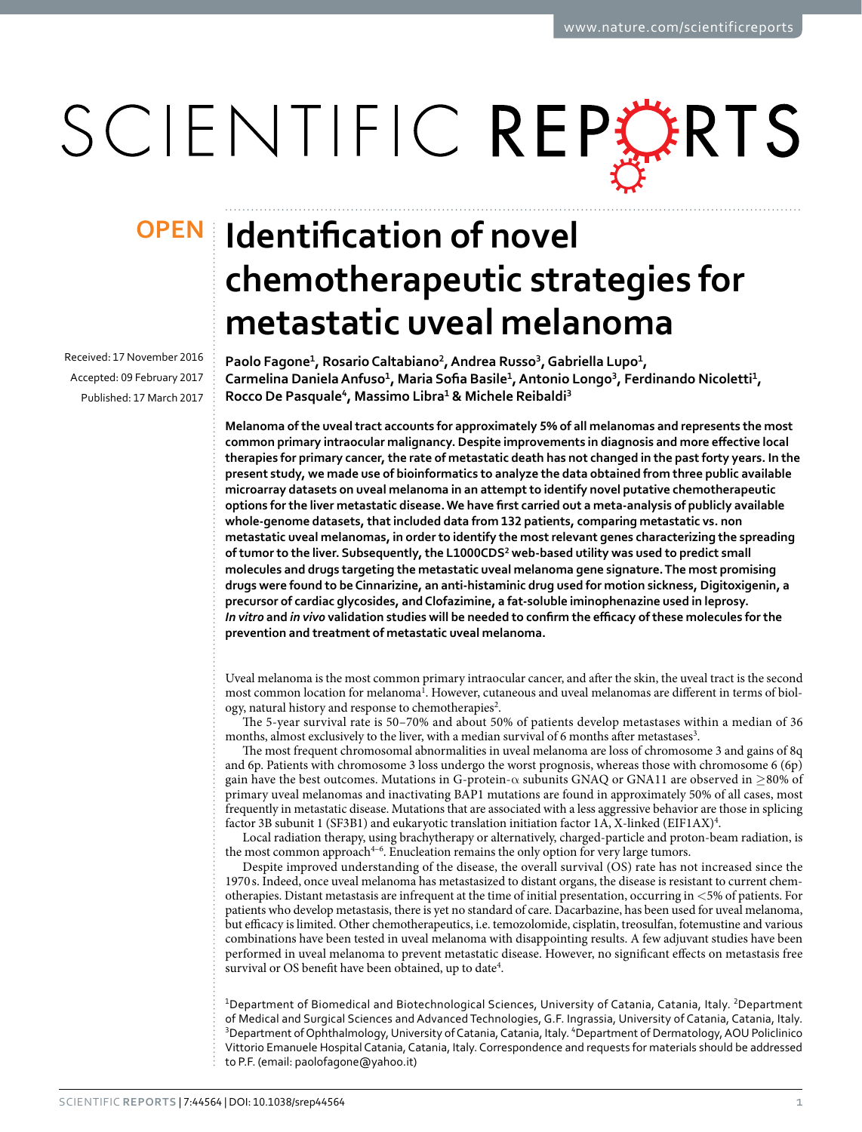# SCIENTIFIC REPERTS

Received: 17 November 2016 accepted: 09 February 2017 Published: 17 March 2017

## **Identification of novel OPENchemotherapeutic strategies for metastatic uveal melanoma**

**Paolo Fagone1, RosarioCaltabiano2, Andrea Russo3, Gabriella Lupo1, Carmelina DanielaAnfuso1, Maria Sofia Basile1, Antonio Longo3, Ferdinando Nicoletti1, Rocco De Pasquale4, Massimo Libra1 & Michele Reibaldi3**

**Melanoma of the uveal tract accounts for approximately 5% of all melanomas and represents the most common primary intraocular malignancy. Despite improvements in diagnosis and more effective local therapies for primary cancer, the rate of metastatic death has not changed in the past forty years. In the present study, we made use of bioinformatics to analyze the data obtained from three public available microarray datasets on uveal melanoma in an attempt to identify novel putative chemotherapeutic options for the liver metastatic disease. We have first carried out a meta-analysis of publicly available whole-genome datasets, that included data from 132 patients, comparing metastatic vs. non metastatic uveal melanomas, in order to identify the most relevant genes characterizing the spreading of tumor to the liver. Subsequently, the L1000CDS2 web-based utility was used to predict small molecules and drugs targeting the metastatic uveal melanoma gene signature. The most promising drugs were found to be Cinnarizine, an anti-histaminic drug used for motion sickness, Digitoxigenin, a precursor of cardiac glycosides, and Clofazimine, a fat-soluble iminophenazine used in leprosy.**  *In vitro* **and** *in vivo* **validation studies will be needed to confirm the efficacy of these molecules for the prevention and treatment of metastatic uveal melanoma.**

Uveal melanoma is the most common primary intraocular cancer, and after the skin, the uveal tract is the second most common location for melanoma<sup>1</sup>. However, cutaneous and uveal melanomas are different in terms of biol-ogy, natural history and response to chemotherapies<sup>[2](#page-8-1)</sup>.

The 5-year survival rate is 50–70% and about 50% of patients develop metastases within a median of 36 months, almost exclusively to the liver, with a median survival of 6 months after metastases<sup>[3](#page-8-2)</sup>.

The most frequent chromosomal abnormalities in uveal melanoma are loss of chromosome 3 and gains of 8q and 6p. Patients with chromosome 3 loss undergo the worst prognosis, whereas those with chromosome 6 (6p) gain have the best outcomes. Mutations in G-protein- $\alpha$  subunits GNAQ or GNA11 are observed in  $\geq$ 80% of primary uveal melanomas and inactivating BAP1 mutations are found in approximately 50% of all cases, most frequently in metastatic disease. Mutations that are associated with a less aggressive behavior are those in splicing factor 3B subunit 1 (SF3B1) and eukaryotic translation initiation factor 1A, X-linked (EIF1AX)<sup>[4](#page-8-3)</sup>.

Local radiation therapy, using brachytherapy or alternatively, charged-particle and proton-beam radiation, is the most common approac[h4–6.](#page-8-3) Enucleation remains the only option for very large tumors.

Despite improved understanding of the disease, the overall survival (OS) rate has not increased since the 1970 s. Indeed, once uveal melanoma has metastasized to distant organs, the disease is resistant to current chemotherapies. Distant metastasis are infrequent at the time of initial presentation, occurring in <5% of patients. For patients who develop metastasis, there is yet no standard of care. Dacarbazine, has been used for uveal melanoma, but efficacy is limited. Other chemotherapeutics, i.e. temozolomide, cisplatin, treosulfan, fotemustine and various combinations have been tested in uveal melanoma with disappointing results. A few adjuvant studies have been performed in uveal melanoma to prevent metastatic disease. However, no significant effects on metastasis free survival or OS benefit have been obtained, up to date<sup>4</sup>.

<sup>1</sup>Department of Biomedical and Biotechnological Sciences, University of Catania, Catania, Italy. <sup>2</sup>Department of Medical and Surgical Sciences and Advanced Technologies, G.F. Ingrassia, University of Catania, Catania, Italy. <sup>3</sup>Department of Ophthalmology, University of Catania, Catania, Italy. <sup>4</sup>Department of Dermatology, AOU Policlinico Vittorio Emanuele Hospital Catania, Catania, Italy. Correspondence and requests for materials should be addressed to P.F. (email: [paolofagone@yahoo.it\)](mailto:paolofagone@yahoo.it)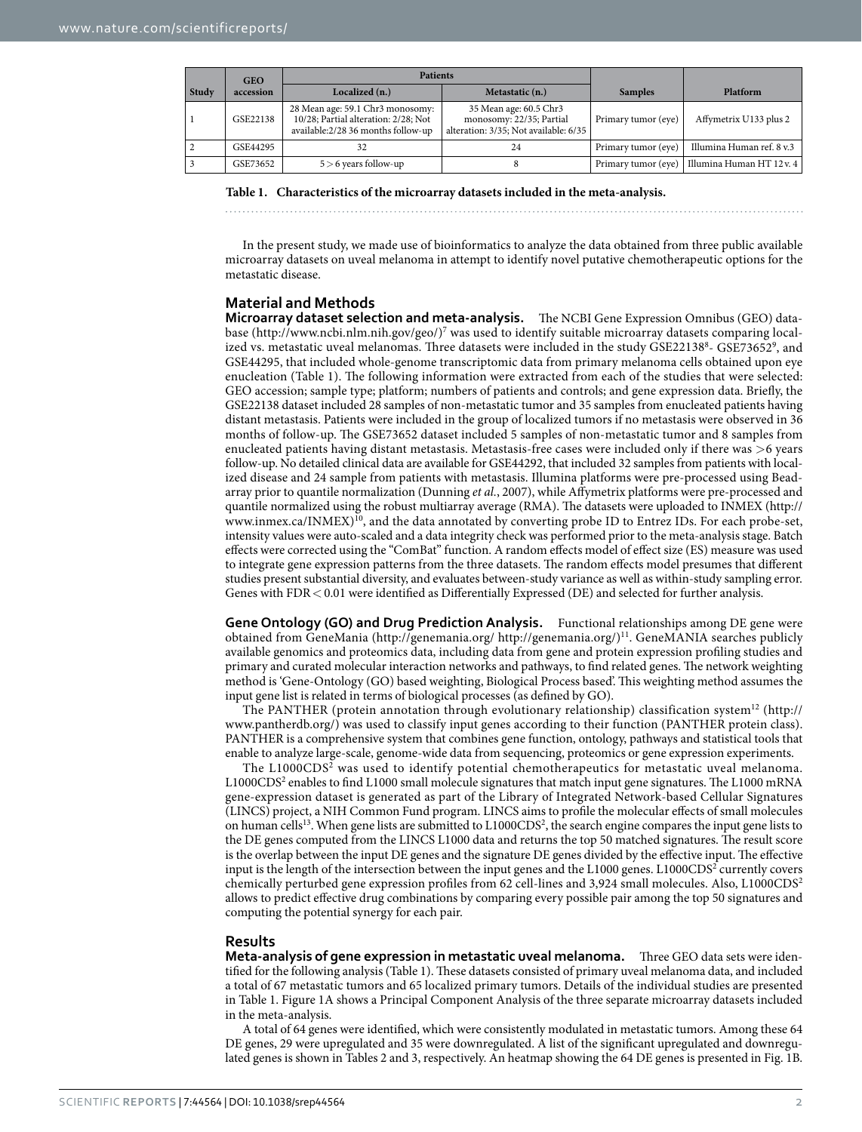<span id="page-1-0"></span>

|       | <b>GEO</b> | <b>Patients</b>                                                                                                |                                                                                             |                     |                           |
|-------|------------|----------------------------------------------------------------------------------------------------------------|---------------------------------------------------------------------------------------------|---------------------|---------------------------|
| Study | accession  | Localized $(n.)$                                                                                               | Metastatic (n.)                                                                             | <b>Samples</b>      | Platform                  |
|       | GSE22138   | 28 Mean age: 59.1 Chr3 monosomy:<br>10/28; Partial alteration: 2/28; Not<br>available:2/28 36 months follow-up | 35 Mean age: 60.5 Chr3<br>monosomy: 22/35; Partial<br>alteration: 3/35; Not available: 6/35 | Primary tumor (eye) | Affymetrix U133 plus 2    |
| 2     | GSE44295   |                                                                                                                | 24                                                                                          | Primary tumor (eye) | Illumina Human ref. 8 v.3 |
| 3     | GSE73652   | $5 > 6$ years follow-up                                                                                        |                                                                                             | Primary tumor (eye) | Illumina Human HT 12 v. 4 |

**Table 1. Characteristics of the microarray datasets included in the meta-analysis.**

In the present study, we made use of bioinformatics to analyze the data obtained from three public available microarray datasets on uveal melanoma in attempt to identify novel putative chemotherapeutic options for the metastatic disease.

### **Material and Methods**

**Microarray dataset selection and meta-analysis.** The NCBI Gene Expression Omnibus (GEO) database [\(http://www.ncbi.nlm.nih.gov/geo/\)](http://www.ncbi.nlm.nih.gov/geo/)[7](#page-8-4) was used to identify suitable microarray datasets comparing local-ized vs. metastatic uveal melanomas. Three datasets were included in the study GSE2213[8](#page-8-5)8- GSE73652[9](#page-8-6), and GSE44295, that included whole-genome transcriptomic data from primary melanoma cells obtained upon eye enucleation [\(Table 1\)](#page-1-0). The following information were extracted from each of the studies that were selected: GEO accession; sample type; platform; numbers of patients and controls; and gene expression data. Briefly, the GSE22138 dataset included 28 samples of non-metastatic tumor and 35 samples from enucleated patients having distant metastasis. Patients were included in the group of localized tumors if no metastasis were observed in 36 months of follow-up. The GSE73652 dataset included 5 samples of non-metastatic tumor and 8 samples from enucleated patients having distant metastasis. Metastasis-free cases were included only if there was >6 years follow-up. No detailed clinical data are available for GSE44292, that included 32 samples from patients with localized disease and 24 sample from patients with metastasis. Illumina platforms were pre-processed using Beadarray prior to quantile normalization (Dunning *et al.*, 2007), while Affymetrix platforms were pre-processed and quantile normalized using the robust multiarray average (RMA). The datasets were uploaded to INMEX ([http://](http://www.inmex.ca/INMEX) [www.inmex.ca/INMEX\)](http://www.inmex.ca/INMEX)<sup>10</sup>, and the data annotated by converting probe ID to Entrez IDs. For each probe-set, intensity values were auto-scaled and a data integrity check was performed prior to the meta-analysis stage. Batch effects were corrected using the "ComBat" function. A random effects model of effect size (ES) measure was used to integrate gene expression patterns from the three datasets. The random effects model presumes that different studies present substantial diversity, and evaluates between-study variance as well as within-study sampling error. Genes with FDR < 0.01 were identified as Differentially Expressed (DE) and selected for further analysis.

**Gene Ontology (GO) and Drug Prediction Analysis.** Functional relationships among DE gene were obtained from GeneMania ([http://genemania.org/ http://genemania.org/\)](http://genemania.org/)[11.](#page-8-8) GeneMANIA searches publicly available genomics and proteomics data, including data from gene and protein expression profiling studies and primary and curated molecular interaction networks and pathways, to find related genes. The network weighting method is 'Gene-Ontology (GO) based weighting, Biological Process based'. This weighting method assumes the input gene list is related in terms of biological processes (as defined by GO).

The PANTHER (protein annotation through evolutionary relationship) classification system<sup>12</sup> ([http://](http://www.pantherdb.org/) [www.pantherdb.org/\)](http://www.pantherdb.org/) was used to classify input genes according to their function (PANTHER protein class). PANTHER is a comprehensive system that combines gene function, ontology, pathways and statistical tools that enable to analyze large-scale, genome-wide data from sequencing, proteomics or gene expression experiments.

The L1000CDS2 was used to identify potential chemotherapeutics for metastatic uveal melanoma. L1000CDS2 enables to find L1000 small molecule signatures that match input gene signatures. The L1000 mRNA gene-expression dataset is generated as part of the Library of Integrated Network-based Cellular Signatures (LINCS) project, a NIH Common Fund program. LINCS aims to profile the molecular effects of small molecules on human cells<sup>13</sup>. When gene lists are submitted to L1000CDS<sup>2</sup>, the search engine compares the input gene lists to the DE genes computed from the LINCS L1000 data and returns the top 50 matched signatures. The result score is the overlap between the input DE genes and the signature DE genes divided by the effective input. The effective input is the length of the intersection between the input genes and the L1000 genes. L1000CDS<sup>2</sup> currently covers chemically perturbed gene expression profiles from 62 cell-lines and 3,924 small molecules. Also, L1000CDS2 allows to predict effective drug combinations by comparing every possible pair among the top 50 signatures and computing the potential synergy for each pair.

#### **Results**

**Meta-analysis of gene expression in metastatic uveal melanoma.** Three GEO data sets were identified for the following analysis [\(Table 1\)](#page-1-0). These datasets consisted of primary uveal melanoma data, and included a total of 67 metastatic tumors and 65 localized primary tumors. Details of the individual studies are presented in [Table 1.](#page-1-0) [Figure 1A](#page-2-0) shows a Principal Component Analysis of the three separate microarray datasets included in the meta-analysis.

A total of 64 genes were identified, which were consistently modulated in metastatic tumors. Among these 64 DE genes, 29 were upregulated and 35 were downregulated. A list of the significant upregulated and downregulated genes is shown in [Tables 2](#page-2-1) and [3,](#page-3-0) respectively. An heatmap showing the 64 DE genes is presented in [Fig. 1B.](#page-2-0)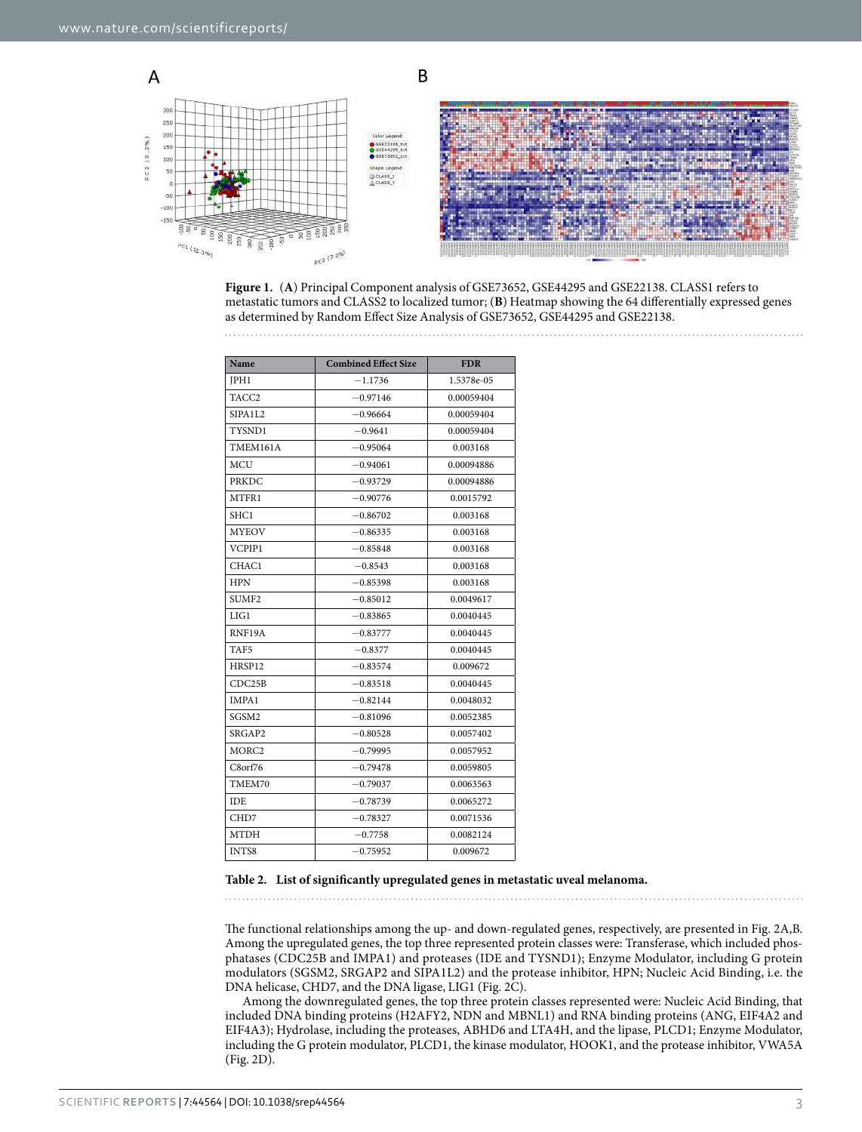

<span id="page-2-0"></span>**Figure 1.** (**A**) Principal Component analysis of GSE73652, GSE44295 and GSE22138. CLASS1 refers to metastatic tumors and CLASS2 to localized tumor; (**B**) Heatmap showing the 64 differentially expressed genes as determined by Random Effect Size Analysis of GSE73652, GSE44295 and GSE22138. 

<span id="page-2-1"></span>

| Name              | <b>Combined Effect Size</b> | <b>FDR</b> |
|-------------------|-----------------------------|------------|
| JPH1              | $-1.1736$                   | 1.5378e-05 |
| TACC <sub>2</sub> | $-0.97146$                  | 0.00059404 |
| SIPA1L2           | $-0.96664$                  | 0.00059404 |
| TYSND1            | $-0.9641$                   | 0.00059404 |
| TMEM161A          | $-0.95064$                  | 0.003168   |
| <b>MCU</b>        | $-0.94061$                  | 0.00094886 |
| PRKDC             | $-0.93729$                  | 0.00094886 |
| MTFR1             | $-0.90776$                  | 0.0015792  |
| SHC1              | $-0.86702$                  | 0.003168   |
| <b>MYEOV</b>      | $-0.86335$                  | 0.003168   |
| VCPIP1            | $-0.85848$                  | 0.003168   |
| CHAC1             | $-0.8543$                   | 0.003168   |
| <b>HPN</b>        | $-0.85398$                  | 0.003168   |
| SUMF2             | $-0.85012$                  | 0.0049617  |
| LIG1              | $-0.83865$                  | 0.0040445  |
| RNF19A            | $-0.83777$                  | 0.0040445  |
| TAF5              | $-0.8377$                   | 0.0040445  |
| HRSP12            | $-0.83574$                  | 0.009672   |
| CDC25B            | $-0.83518$                  | 0.0040445  |
| IMPA1             | $-0.82144$                  | 0.0048032  |
| SGSM2             | $-0.81096$                  | 0.0052385  |
| SRGAP2            | $-0.80528$                  | 0.0057402  |
| MORC2             | $-0.79995$                  | 0.0057952  |
| $C8$ orf $76$     | $-0.79478$                  | 0.0059805  |
| TMEM70            | $-0.79037$                  | 0.0063563  |
| <b>IDE</b>        | $-0.78739$                  | 0.0065272  |
| CHD7              | $-0.78327$                  | 0.0071536  |
| <b>MTDH</b>       | $-0.7758$<br>0.0082124      |            |
| INTS8             | $-0.75952$                  | 0.009672   |

#### **Table 2. List of significantly upregulated genes in metastatic uveal melanoma.**

The functional relationships among the up- and down-regulated genes, respectively, are presented in [Fig. 2A](#page-4-0),B. Among the upregulated genes, the top three represented protein classes were: Transferase, which included phosphatases (CDC25B and IMPA1) and proteases (IDE and TYSND1); Enzyme Modulator, including G protein modulators (SGSM2, SRGAP2 and SIPA1L2) and the protease inhibitor, HPN; Nucleic Acid Binding, i.e. the DNA helicase, CHD7, and the DNA ligase, LIG1 [\(Fig. 2C\)](#page-4-0).

Among the downregulated genes, the top three protein classes represented were: Nucleic Acid Binding, that included DNA binding proteins (H2AFY2, NDN and MBNL1) and RNA binding proteins (ANG, EIF4A2 and EIF4A3); Hydrolase, including the proteases, ABHD6 and LTA4H, and the lipase, PLCD1; Enzyme Modulator, including the G protein modulator, PLCD1, the kinase modulator, HOOK1, and the protease inhibitor, VWA5A ([Fig. 2D\)](#page-4-0).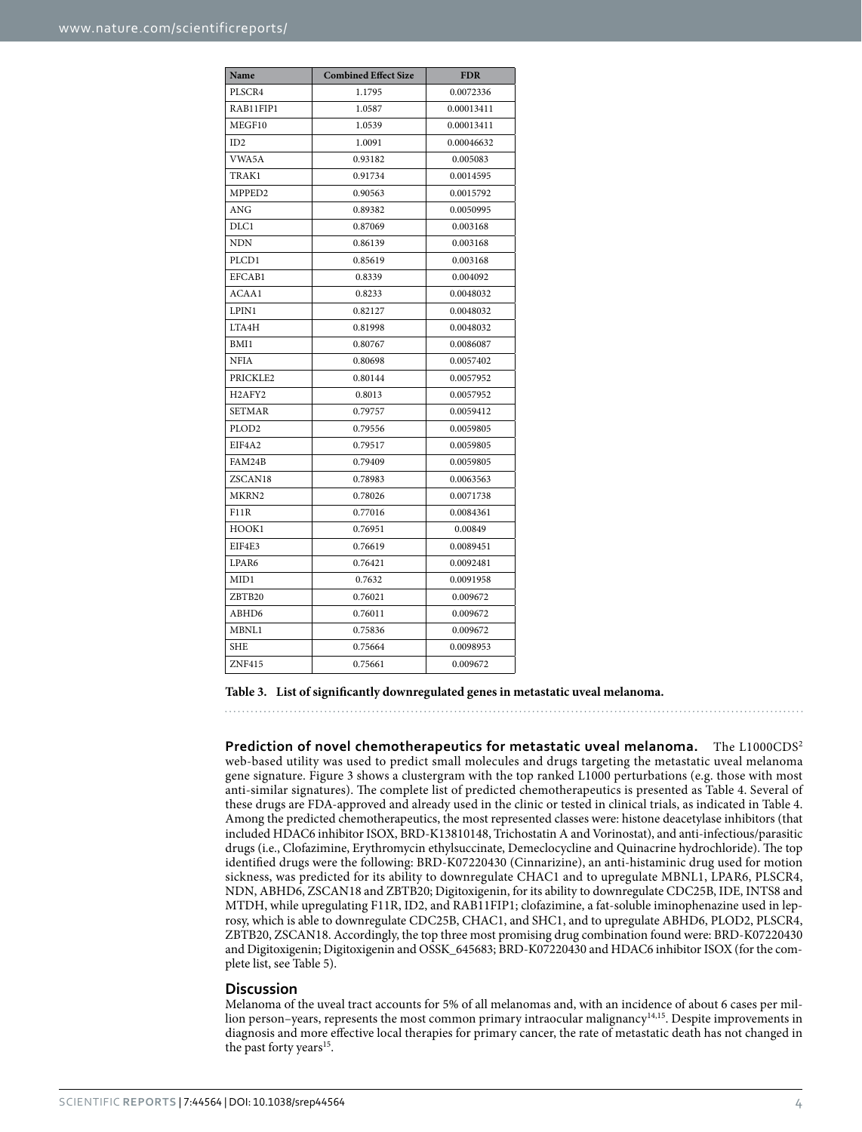<span id="page-3-0"></span>

| Name                            | <b>Combined Effect Size</b> | <b>FDR</b> |
|---------------------------------|-----------------------------|------------|
| PLSCR4                          | 1.1795                      | 0.0072336  |
| RAB11FIP1                       | 1.0587                      | 0.00013411 |
| MEGF10                          | 1.0539                      | 0.00013411 |
| ID2                             | 1.0091                      | 0.00046632 |
| VWA5A                           | 0.93182                     | 0.005083   |
| TRAK1                           | 0.91734                     | 0.0014595  |
| MPPED <sub>2</sub>              | 0.90563                     | 0.0015792  |
| ANG                             | 0.89382                     | 0.0050995  |
| DLC1                            | 0.87069                     | 0.003168   |
| <b>NDN</b>                      | 0.86139                     | 0.003168   |
| PLCD1                           | 0.85619                     | 0.003168   |
| EFCAB1                          | 0.8339                      | 0.004092   |
| ACAA1                           | 0.8233                      | 0.0048032  |
| LPIN1                           | 0.82127                     | 0.0048032  |
| LTA4H                           | 0.81998                     | 0.0048032  |
| BMI1                            | 0.80767                     | 0.0086087  |
| <b>NFIA</b>                     | 0.80698                     | 0.0057402  |
| PRICKLE2                        | 0.80144                     | 0.0057952  |
| H <sub>2</sub> AFY <sub>2</sub> | 0.8013                      | 0.0057952  |
| <b>SETMAR</b>                   | 0.79757                     | 0.0059412  |
| PLOD <sub>2</sub>               | 0.79556                     | 0.0059805  |
| EIF4A2                          | 0.79517                     | 0.0059805  |
| FAM24B                          | 0.79409                     | 0.0059805  |
| ZSCAN18                         | 0.78983                     | 0.0063563  |
| MKRN2                           | 0.78026                     | 0.0071738  |
| <b>F11R</b>                     | 0.77016                     | 0.0084361  |
| HOOK1                           | 0.76951                     | 0.00849    |
| EIF4E3                          | 0.76619                     | 0.0089451  |
| LPAR6                           | 0.76421                     | 0.0092481  |
| MID1                            | 0.7632                      | 0.0091958  |
| ZBTB20                          | 0.76021                     | 0.009672   |
| ABHD6                           | 0.76011                     | 0.009672   |
| MBNL1                           | 0.75836                     | 0.009672   |
| <b>SHE</b>                      | 0.75664                     | 0.0098953  |
| ZNF415                          | 0.75661                     | 0.009672   |

**Table 3. List of significantly downregulated genes in metastatic uveal melanoma.**

**Prediction of novel chemotherapeutics for metastatic uveal melanoma.** The L1000CDS2 web-based utility was used to predict small molecules and drugs targeting the metastatic uveal melanoma gene signature. [Figure 3](#page-4-1) shows a clustergram with the top ranked L1000 perturbations (e.g. those with most anti-similar signatures). The complete list of predicted chemotherapeutics is presented as [Table 4](#page-5-0). Several of these drugs are FDA-approved and already used in the clinic or tested in clinical trials, as indicated in [Table 4.](#page-5-0) Among the predicted chemotherapeutics, the most represented classes were: histone deacetylase inhibitors (that included HDAC6 inhibitor ISOX, BRD-K13810148, Trichostatin A and Vorinostat), and anti-infectious/parasitic drugs (i.e., Clofazimine, Erythromycin ethylsuccinate, Demeclocycline and Quinacrine hydrochloride). The top identified drugs were the following: BRD-K07220430 (Cinnarizine), an anti-histaminic drug used for motion sickness, was predicted for its ability to downregulate CHAC1 and to upregulate MBNL1, LPAR6, PLSCR4, NDN, ABHD6, ZSCAN18 and ZBTB20; Digitoxigenin, for its ability to downregulate CDC25B, IDE, INTS8 and MTDH, while upregulating F11R, ID2, and RAB11FIP1; clofazimine, a fat-soluble iminophenazine used in leprosy, which is able to downregulate CDC25B, CHAC1, and SHC1, and to upregulate ABHD6, PLOD2, PLSCR4, ZBTB20, ZSCAN18. Accordingly, the top three most promising drug combination found were: BRD-K07220430 and Digitoxigenin; Digitoxigenin and OSSK\_645683; BRD-K07220430 and HDAC6 inhibitor ISOX (for the complete list, see [Table 5\)](#page-6-0).

### **Discussion**

Melanoma of the uveal tract accounts for 5% of all melanomas and, with an incidence of about 6 cases per million person–years, represents the most common primary intraocular malignancy<sup>14,15</sup>. Despite improvements in diagnosis and more effective local therapies for primary cancer, the rate of metastatic death has not changed in the past forty years<sup>15</sup>.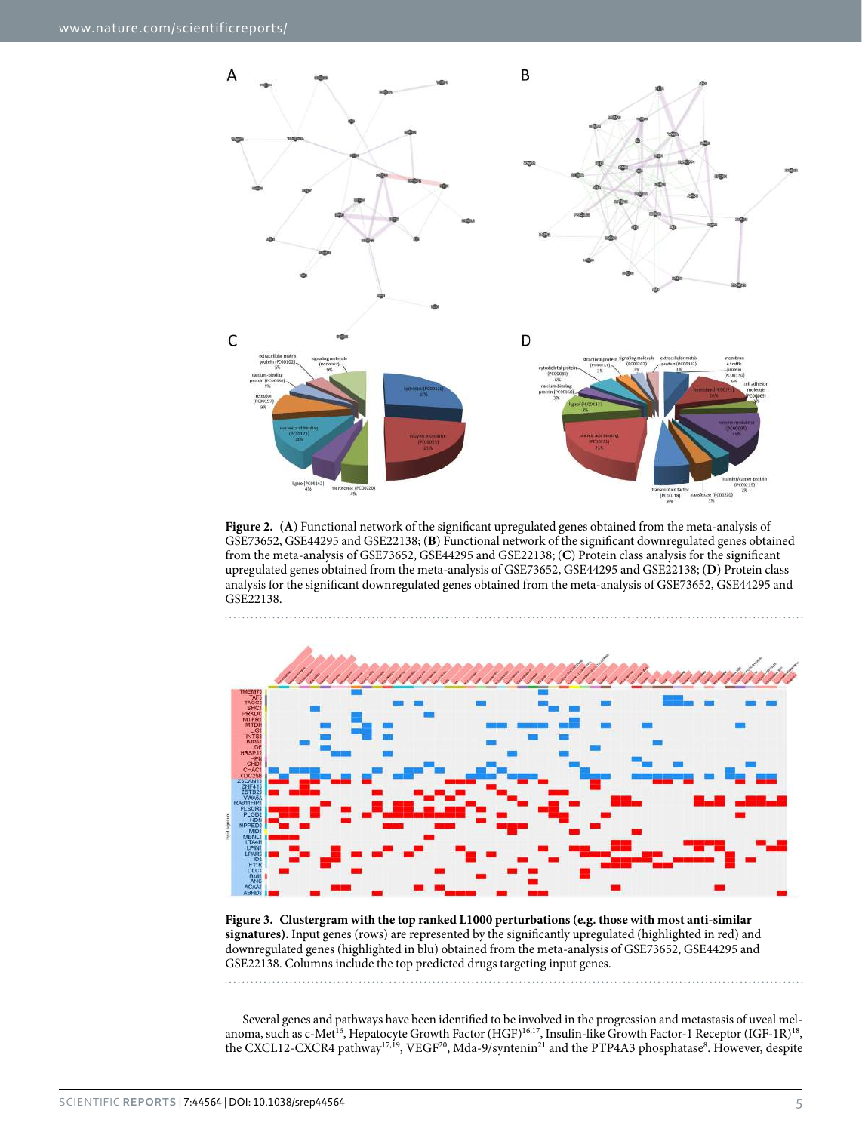

<span id="page-4-0"></span>**Figure 2.** (**A**) Functional network of the significant upregulated genes obtained from the meta-analysis of GSE73652, GSE44295 and GSE22138; (**B**) Functional network of the significant downregulated genes obtained from the meta-analysis of GSE73652, GSE44295 and GSE22138; (**C**) Protein class analysis for the significant upregulated genes obtained from the meta-analysis of GSE73652, GSE44295 and GSE22138; (**D**) Protein class analysis for the significant downregulated genes obtained from the meta-analysis of GSE73652, GSE44295 and GSE22138.



<span id="page-4-1"></span>**Figure 3. Clustergram with the top ranked L1000 perturbations (e.g. those with most anti-similar signatures).** Input genes (rows) are represented by the significantly upregulated (highlighted in red) and downregulated genes (highlighted in blu) obtained from the meta-analysis of GSE73652, GSE44295 and GSE22138. Columns include the top predicted drugs targeting input genes.

Several genes and pathways have been identified to be involved in the progression and metastasis of uveal mel-anoma, such as c-Met<sup>[16](#page-8-13)</sup>, Hepatocyte Growth Factor (HGF)<sup>16,[17](#page-8-14)</sup>, Insulin-like Growth Factor-1 Receptor (IGF-1R)<sup>18</sup>, the CXCL12-CXCR4 pathway<sup>[17](#page-8-14),[19](#page-8-16)</sup>, VEGF<sup>20</sup>, Mda-9/syntenin<sup>[21](#page-8-18)</sup> and the PTP4A3 phosphatase<sup>8</sup>. However, despite

. . . . . . . . . . .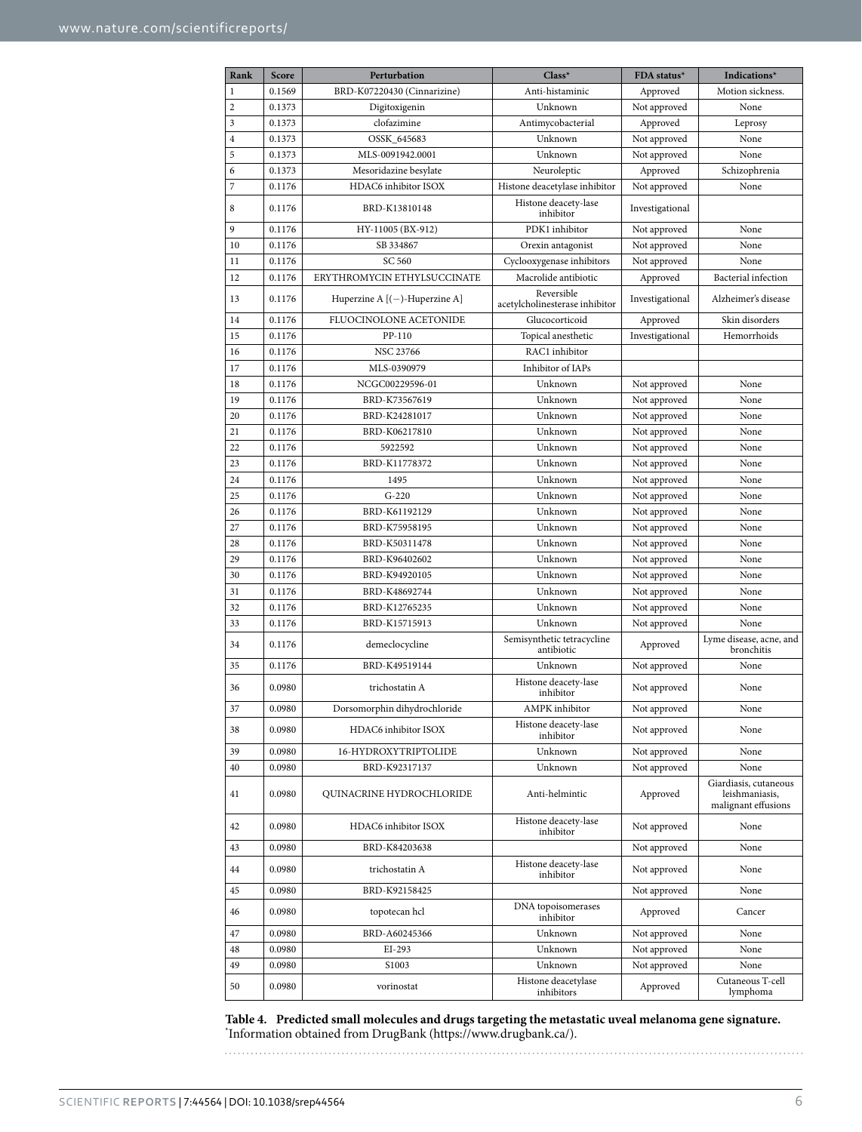<span id="page-5-0"></span>

| Rank         | Score  | Perturbation                     | Class*                                       | FDA status*     | Indications*                                                   |
|--------------|--------|----------------------------------|----------------------------------------------|-----------------|----------------------------------------------------------------|
| $\mathbf{1}$ | 0.1569 | BRD-K07220430 (Cinnarizine)      | Anti-histaminic                              | Approved        | Motion sickness.                                               |
| 2            | 0.1373 | Digitoxigenin                    | Unknown                                      | Not approved    | None                                                           |
| 3            | 0.1373 | clofazimine                      | Antimycobacterial                            | Approved        | Leprosy                                                        |
| 4            | 0.1373 | OSSK_645683                      | Unknown                                      | Not approved    | None                                                           |
| 5            | 0.1373 | MLS-0091942.0001                 | Unknown                                      | Not approved    | None                                                           |
| 6            | 0.1373 | Mesoridazine besylate            | Neuroleptic                                  | Approved        | Schizophrenia                                                  |
| 7            | 0.1176 | HDAC6 inhibitor ISOX             | Histone deacetylase inhibitor                | Not approved    | None                                                           |
| 8            | 0.1176 | BRD-K13810148                    | Histone deacety-lase<br>inhibitor            | Investigational |                                                                |
| 9            | 0.1176 | HY-11005 (BX-912)                | PDK1 inhibitor                               | Not approved    | None                                                           |
| 10           | 0.1176 | SB 334867                        | Orexin antagonist                            | Not approved    | None                                                           |
| 11           | 0.1176 | SC 560                           | Cyclooxygenase inhibitors                    | Not approved    | None                                                           |
| 12           | 0.1176 | ERYTHROMYCIN ETHYLSUCCINATE      | Macrolide antibiotic                         | Approved        | Bacterial infection                                            |
| 13           | 0.1176 | Huperzine A $[(-)$ -Huperzine A] | Reversible<br>acetylcholinesterase inhibitor | Investigational | Alzheimer's disease                                            |
| 14           | 0.1176 | FLUOCINOLONE ACETONIDE           | Glucocorticoid                               | Approved        | Skin disorders                                                 |
| 15           | 0.1176 | PP-110                           | Topical anesthetic                           | Investigational | Hemorrhoids                                                    |
| 16           | 0.1176 | NSC 23766                        | RAC1 inhibitor                               |                 |                                                                |
| 17           | 0.1176 | MLS-0390979                      | Inhibitor of IAPs                            |                 |                                                                |
| 18           | 0.1176 | NCGC00229596-01                  | Unknown                                      | Not approved    | None                                                           |
| 19           | 0.1176 | BRD-K73567619                    | Unknown                                      | Not approved    | None                                                           |
| 20           | 0.1176 | BRD-K24281017                    | Unknown                                      | Not approved    | None                                                           |
| 21           | 0.1176 | BRD-K06217810                    | Unknown                                      | Not approved    | None                                                           |
| 22           | 0.1176 | 5922592                          | Unknown                                      | Not approved    | None                                                           |
| 23           | 0.1176 | BRD-K11778372                    | Unknown                                      | Not approved    | None                                                           |
| 24           | 0.1176 | 1495                             | Unknown                                      | Not approved    | None                                                           |
| 25           | 0.1176 | $G-220$                          | Unknown                                      | Not approved    | None                                                           |
| 26           | 0.1176 | BRD-K61192129                    | Unknown                                      | Not approved    | None                                                           |
| 27           | 0.1176 | BRD-K75958195                    | Unknown                                      | Not approved    | None                                                           |
| 28           | 0.1176 | BRD-K50311478                    | Unknown                                      | Not approved    | None                                                           |
| 29           | 0.1176 | BRD-K96402602                    | Unknown                                      | Not approved    | None                                                           |
| 30           | 0.1176 | BRD-K94920105                    | Unknown                                      | Not approved    | None                                                           |
| 31           | 0.1176 | BRD-K48692744                    | Unknown                                      | Not approved    | None                                                           |
| 32           | 0.1176 | BRD-K12765235                    | Unknown                                      | Not approved    | None                                                           |
| 33           | 0.1176 | BRD-K15715913                    | Unknown                                      | Not approved    | None                                                           |
| 34           | 0.1176 | demeclocycline                   | Semisynthetic tetracycline<br>antibiotic     | Approved        | Lyme disease, acne, and<br>bronchitis                          |
| 35           | 0.1176 | BRD-K49519144                    | Unknown                                      | Not approved    | None                                                           |
| 36           | 0.0980 | trichostatin A                   | Histone deacety-lase<br>inhibitor            | Not approved    | None                                                           |
| 37           | 0.0980 | Dorsomorphin dihydrochloride     | AMPK inhibitor                               | Not approved    | None                                                           |
| 38           | 0.0980 | HDAC6 inhibitor ISOX             | Histone deacety-lase<br>inhibitor            | Not approved    | None                                                           |
| 39           | 0.0980 | 16-HYDROXYTRIPTOLIDE             | Unknown                                      | Not approved    | None                                                           |
| 40           | 0.0980 | BRD-K92317137                    | Unknown                                      | Not approved    | None                                                           |
| 41           | 0.0980 | QUINACRINE HYDROCHLORIDE         | Anti-helmintic                               | Approved        | Giardiasis, cutaneous<br>leishmaniasis,<br>malignant effusions |
| 42           | 0.0980 | HDAC6 inhibitor ISOX             | Histone deacety-lase<br>inhibitor            | Not approved    | None                                                           |
| 43           | 0.0980 | BRD-K84203638                    |                                              | Not approved    | None                                                           |
| 44           | 0.0980 | trichostatin A                   | Histone deacety-lase<br>inhibitor            | Not approved    | None                                                           |
| 45           | 0.0980 | BRD-K92158425                    |                                              | Not approved    | None                                                           |
| 46           | 0.0980 | topotecan hcl                    | DNA topoisomerases<br>inhibitor              | Approved        | Cancer                                                         |
| 47           | 0.0980 | BRD-A60245366                    | Unknown                                      | Not approved    | None                                                           |
| 48           | 0.0980 | EI-293                           | Unknown                                      | Not approved    | None                                                           |
| 49           | 0.0980 | S1003                            | Unknown                                      | Not approved    | None                                                           |
| 50           | 0.0980 | vorinostat                       | Histone deacetylase<br>inhibitors            | Approved        | Cutaneous T-cell<br>lymphoma                                   |

**Table 4. Predicted small molecules and drugs targeting the metastatic uveal melanoma gene signature.** \* Information obtained from DrugBank ([https://www.drugbank.ca/\)](https://www.drugbank.ca/).

Scientific **Reports** | 7:44564 | DOI: 10.1038/srep44564 6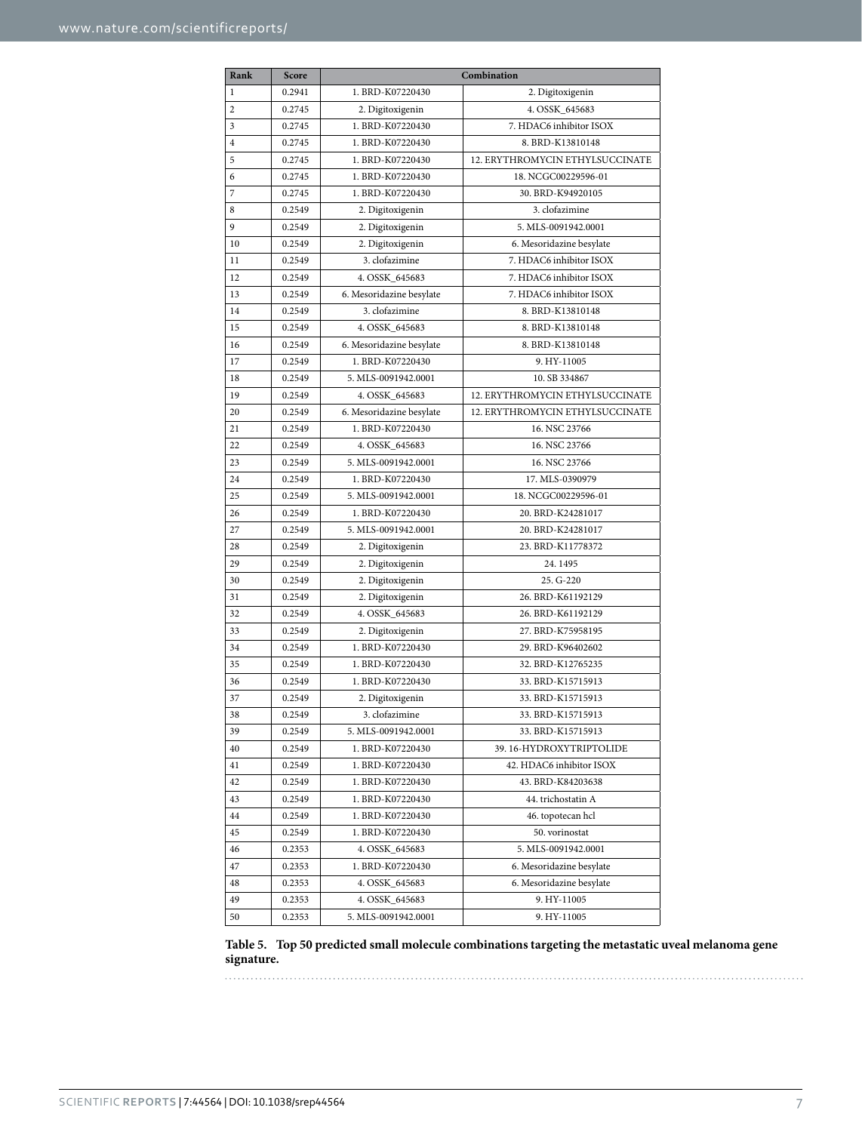<span id="page-6-0"></span>

| Rank           | Score  | Combination              |                                 |
|----------------|--------|--------------------------|---------------------------------|
| $\mathbf{1}$   | 0.2941 | 1. BRD-K07220430         | 2. Digitoxigenin                |
| $\overline{2}$ | 0.2745 | 2. Digitoxigenin         | 4. OSSK_645683                  |
| 3              | 0.2745 | 1. BRD-K07220430         | 7. HDAC6 inhibitor ISOX         |
| $\overline{4}$ | 0.2745 | 1. BRD-K07220430         | 8. BRD-K13810148                |
| 5              | 0.2745 | 1. BRD-K07220430         | 12. ERYTHROMYCIN ETHYLSUCCINATE |
| 6              | 0.2745 | 1. BRD-K07220430         | 18. NCGC00229596-01             |
| 7              | 0.2745 | 1. BRD-K07220430         | 30. BRD-K94920105               |
| 8              | 0.2549 | 2. Digitoxigenin         | 3. clofazimine                  |
| 9              | 0.2549 | 2. Digitoxigenin         | 5. MLS-0091942.0001             |
| 10             | 0.2549 | 2. Digitoxigenin         | 6. Mesoridazine besylate        |
| 11             | 0.2549 | 3. clofazimine           | 7. HDAC6 inhibitor ISOX         |
| 12             | 0.2549 | 4. OSSK_645683           | 7. HDAC6 inhibitor ISOX         |
| 13             | 0.2549 | 6. Mesoridazine besylate | 7. HDAC6 inhibitor ISOX         |
| 14             | 0.2549 | 3. clofazimine           | 8. BRD-K13810148                |
| 15             | 0.2549 | 4. OSSK_645683           | 8. BRD-K13810148                |
| 16             | 0.2549 | 6. Mesoridazine besylate | 8. BRD-K13810148                |
| 17             | 0.2549 | 1. BRD-K07220430         | 9. HY-11005                     |
| 18             | 0.2549 | 5. MLS-0091942.0001      | 10. SB 334867                   |
| 19             | 0.2549 | 4. OSSK 645683           | 12. ERYTHROMYCIN ETHYLSUCCINATE |
| 20             | 0.2549 | 6. Mesoridazine besylate | 12. ERYTHROMYCIN ETHYLSUCCINATE |
| 21             | 0.2549 | 1. BRD-K07220430         | 16. NSC 23766                   |
| 22             | 0.2549 | 4. OSSK_645683           | 16. NSC 23766                   |
| 23             | 0.2549 | 5. MLS-0091942.0001      | 16. NSC 23766                   |
| 24             | 0.2549 | 1. BRD-K07220430         | 17. MLS-0390979                 |
| 25             | 0.2549 | 5. MLS-0091942.0001      | 18. NCGC00229596-01             |
| 26             | 0.2549 | 1. BRD-K07220430         | 20. BRD-K24281017               |
| 27             | 0.2549 | 5. MLS-0091942.0001      | 20. BRD-K24281017               |
| 28             | 0.2549 | 2. Digitoxigenin         | 23. BRD-K11778372               |
| 29             | 0.2549 | 2. Digitoxigenin         | 24.1495                         |
| 30             | 0.2549 | 2. Digitoxigenin         | 25. G-220                       |
| 31             | 0.2549 | 2. Digitoxigenin         | 26. BRD-K61192129               |
| 32             | 0.2549 | 4. OSSK_645683           | 26. BRD-K61192129               |
| 33             | 0.2549 | 2. Digitoxigenin         | 27. BRD-K75958195               |
| 34             | 0.2549 | 1. BRD-K07220430         | 29. BRD-K96402602               |
| 35             | 0.2549 | 1. BRD-K07220430         | 32. BRD-K12765235               |
| 36             | 0.2549 | 1. BRD-K07220430         | 33. BRD-K15715913               |
| 37             | 0.2549 | 2. Digitoxigenin         | 33. BRD-K15715913               |
| $38\,$         | 0.2549 | 3. clofazimine           | 33. BRD-K15715913               |
| 39             | 0.2549 | 5. MLS-0091942.0001      | 33. BRD-K15715913               |
| 40             | 0.2549 | 1. BRD-K07220430         | 39.16-HYDROXYTRIPTOLIDE         |
| 41             | 0.2549 | 1. BRD-K07220430         | 42. HDAC6 inhibitor ISOX        |
| 42             | 0.2549 | 1. BRD-K07220430         | 43. BRD-K84203638               |
| 43             | 0.2549 | 1. BRD-K07220430         | 44. trichostatin A              |
| 44             | 0.2549 | 1. BRD-K07220430         | 46. topotecan hcl               |
| 45             | 0.2549 | 1. BRD-K07220430         | 50. vorinostat                  |
| 46             | 0.2353 | 4. OSSK_645683           | 5. MLS-0091942.0001             |
| 47             | 0.2353 | 1. BRD-K07220430         | 6. Mesoridazine besylate        |
| 48             | 0.2353 | 4. OSSK_645683           | 6. Mesoridazine besylate        |
| 49             | 0.2353 | 4. OSSK_645683           | 9. HY-11005                     |
| 50             | 0.2353 | 5. MLS-0091942.0001      | 9. HY-11005                     |

**Table 5. Top 50 predicted small molecule combinations targeting the metastatic uveal melanoma gene signature.**

. . . . . . . . . . . . . . . . . .

. . . . . . . .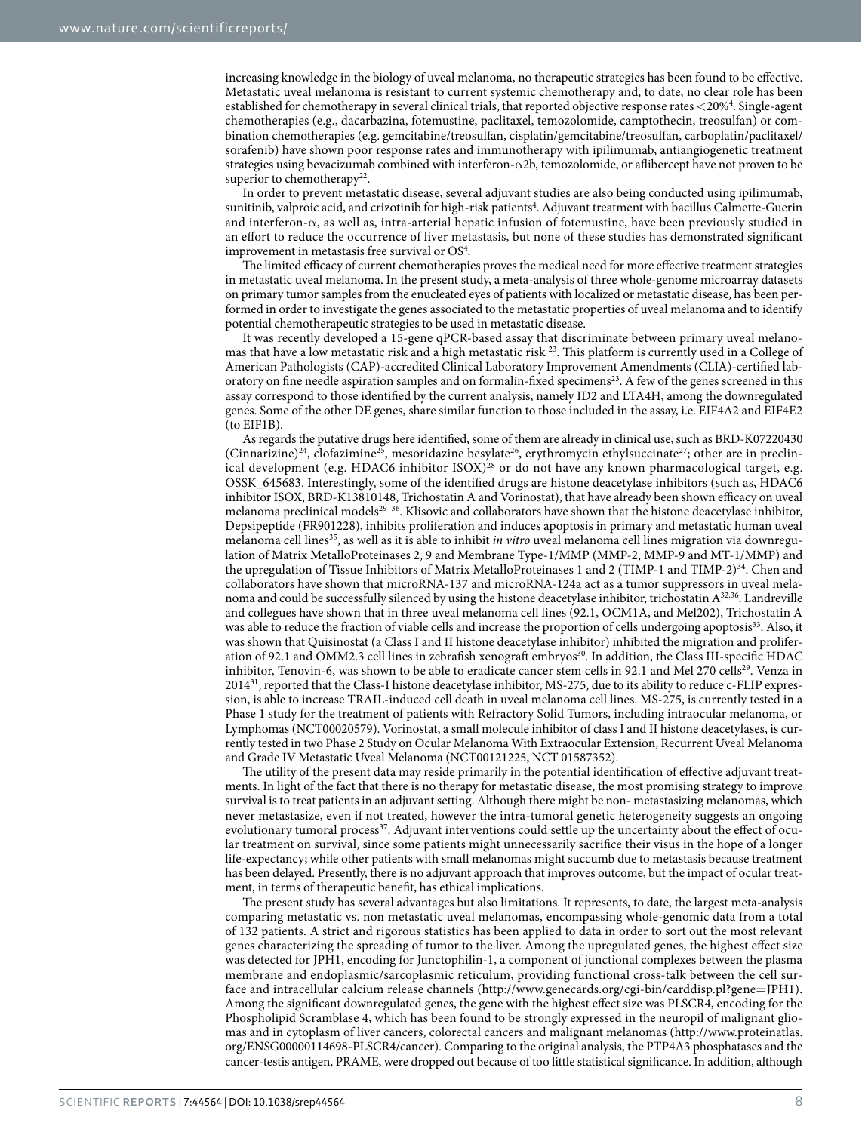increasing knowledge in the biology of uveal melanoma, no therapeutic strategies has been found to be effective. Metastatic uveal melanoma is resistant to current systemic chemotherapy and, to date, no clear role has been established for chemotherapy in several clinical trials, that reported objective response rates <20%[4](#page-8-3) . Single-agent chemotherapies (e.g., dacarbazina, fotemustine, paclitaxel, temozolomide, camptothecin, treosulfan) or combination chemotherapies (e.g. gemcitabine/treosulfan, cisplatin/gemcitabine/treosulfan, carboplatin/paclitaxel/ sorafenib) have shown poor response rates and immunotherapy with ipilimumab, antiangiogenetic treatment strategies using bevacizumab combined with interferon-α2b, temozolomide, or aflibercept have not proven to be superior to chemotherapy<sup>22</sup>.

In order to prevent metastatic disease, several adjuvant studies are also being conducted using ipilimumab, sunitinib, valproic acid, and crizotinib for high-risk patients<sup>[4](#page-8-3)</sup>. Adjuvant treatment with bacillus Calmette-Guerin and interferon-α, as well as, intra-arterial hepatic infusion of fotemustine, have been previously studied in an effort to reduce the occurrence of liver metastasis, but none of these studies has demonstrated significant improvement in metastasis free survival or  $OS<sup>4</sup>$ .

The limited efficacy of current chemotherapies proves the medical need for more effective treatment strategies in metastatic uveal melanoma. In the present study, a meta-analysis of three whole-genome microarray datasets on primary tumor samples from the enucleated eyes of patients with localized or metastatic disease, has been performed in order to investigate the genes associated to the metastatic properties of uveal melanoma and to identify potential chemotherapeutic strategies to be used in metastatic disease.

It was recently developed a 15-gene qPCR-based assay that discriminate between primary uveal melanomas that have a low metastatic risk and a high metastatic risk [23.](#page-8-20) This platform is currently used in a College of American Pathologists (CAP)-accredited Clinical Laboratory Improvement Amendments (CLIA)-certified laboratory on fine needle aspiration samples and on formalin-fixed specimens<sup>23</sup>. A few of the genes screened in this assay correspond to those identified by the current analysis, namely ID2 and LTA4H, among the downregulated genes. Some of the other DE genes, share similar function to those included in the assay, i.e. EIF4A2 and EIF4E2 (to EIF1B).

As regards the putative drugs here identified, some of them are already in clinical use, such as BRD-K07220430 (Cinnarizine)<sup>24</sup>, clofazimine<sup>25</sup>, mesoridazine besylate<sup>[26](#page-8-23)</sup>, erythromycin ethylsuccinate<sup>27</sup>; other are in preclinical development (e.g. HDAC6 inhibitor ISOX)<sup>28</sup> or do not have any known pharmacological target, e.g. OSSK\_645683. Interestingly, some of the identified drugs are histone deacetylase inhibitors (such as, HDAC6 inhibitor ISOX, BRD-K13810148, Trichostatin A and Vorinostat), that have already been shown efficacy on uveal melanoma preclinical models<sup>29-36</sup>. Klisovic and collaborators have shown that the histone deacetylase inhibitor, Depsipeptide (FR901228), inhibits proliferation and induces apoptosis in primary and metastatic human uveal melanoma cell lines<sup>35</sup>, as well as it is able to inhibit *in vitro* uveal melanoma cell lines migration via downregulation of Matrix MetalloProteinases 2, 9 and Membrane Type-1/MMP (MMP-2, MMP-9 and MT-1/MMP) and the upregulation of Tissue Inhibitors of Matrix MetalloProteinases 1 and 2 (TIMP-1 and TIMP-2)<sup>34</sup>. Chen and collaborators have shown that microRNA-137 and microRNA-124a act as a tumor suppressors in uveal melanoma and could be successfully silenced by using the histone deacetylase inhibitor, trichostatin [A32,](#page-9-2)[36](#page-9-3). Landreville and collegues have shown that in three uveal melanoma cell lines (92.1, OCM1A, and Mel202), Trichostatin A was able to reduce the fraction of viable cells and increase the proportion of cells undergoing apoptosis<sup>33</sup>. Also, it was shown that Quisinostat (a Class I and II histone deacetylase inhibitor) inhibited the migration and prolifer-ation of 92.1 and OMM2.3 cell lines in zebrafish xenograft embryos<sup>[30](#page-9-5)</sup>. In addition, the Class III-specific HDAC inhibitor, Tenovin-6, was shown to be able to eradicate cancer stem cells in 92.1 and Mel 270 cells<sup>[29](#page-8-26)</sup>. Venza in 2014[31,](#page-9-6) reported that the Class-I histone deacetylase inhibitor, MS-275, due to its ability to reduce c-FLIP expression, is able to increase TRAIL-induced cell death in uveal melanoma cell lines. MS-275, is currently tested in a Phase 1 study for the treatment of patients with Refractory Solid Tumors, including intraocular melanoma, or Lymphomas (NCT00020579). Vorinostat, a small molecule inhibitor of class I and II histone deacetylases, is currently tested in two Phase 2 Study on Ocular Melanoma With Extraocular Extension, Recurrent Uveal Melanoma and Grade IV Metastatic Uveal Melanoma (NCT00121225, NCT 01587352).

The utility of the present data may reside primarily in the potential identification of effective adjuvant treatments. In light of the fact that there is no therapy for metastatic disease, the most promising strategy to improve survival is to treat patients in an adjuvant setting. Although there might be non- metastasizing melanomas, which never metastasize, even if not treated, however the intra-tumoral genetic heterogeneity suggests an ongoing evolutionary tumoral process<sup>37</sup>. Adjuvant interventions could settle up the uncertainty about the effect of ocular treatment on survival, since some patients might unnecessarily sacrifice their visus in the hope of a longer life-expectancy; while other patients with small melanomas might succumb due to metastasis because treatment has been delayed. Presently, there is no adjuvant approach that improves outcome, but the impact of ocular treatment, in terms of therapeutic benefit, has ethical implications.

The present study has several advantages but also limitations. It represents, to date, the largest meta-analysis comparing metastatic vs. non metastatic uveal melanomas, encompassing whole-genomic data from a total of 132 patients. A strict and rigorous statistics has been applied to data in order to sort out the most relevant genes characterizing the spreading of tumor to the liver. Among the upregulated genes, the highest effect size was detected for JPH1, encoding for Junctophilin-1, a component of junctional complexes between the plasma membrane and endoplasmic/sarcoplasmic reticulum, providing functional cross-talk between the cell surface and intracellular calcium release channels ([http://www.genecards.org/cgi-bin/carddisp.pl?gene](http://www.genecards.org/cgi-bin/carddisp.pl?gene=JPH1)=JPH1). Among the significant downregulated genes, the gene with the highest effect size was PLSCR4, encoding for the Phospholipid Scramblase 4, which has been found to be strongly expressed in the neuropil of malignant gliomas and in cytoplasm of liver cancers, colorectal cancers and malignant melanomas ([http://www.proteinatlas.](http://www.proteinatlas.org/ENSG00000114698-PLSCR4/cancer) [org/ENSG00000114698-PLSCR4/cancer](http://www.proteinatlas.org/ENSG00000114698-PLSCR4/cancer)). Comparing to the original analysis, the PTP4A3 phosphatases and the cancer-testis antigen, PRAME, were dropped out because of too little statistical significance. In addition, although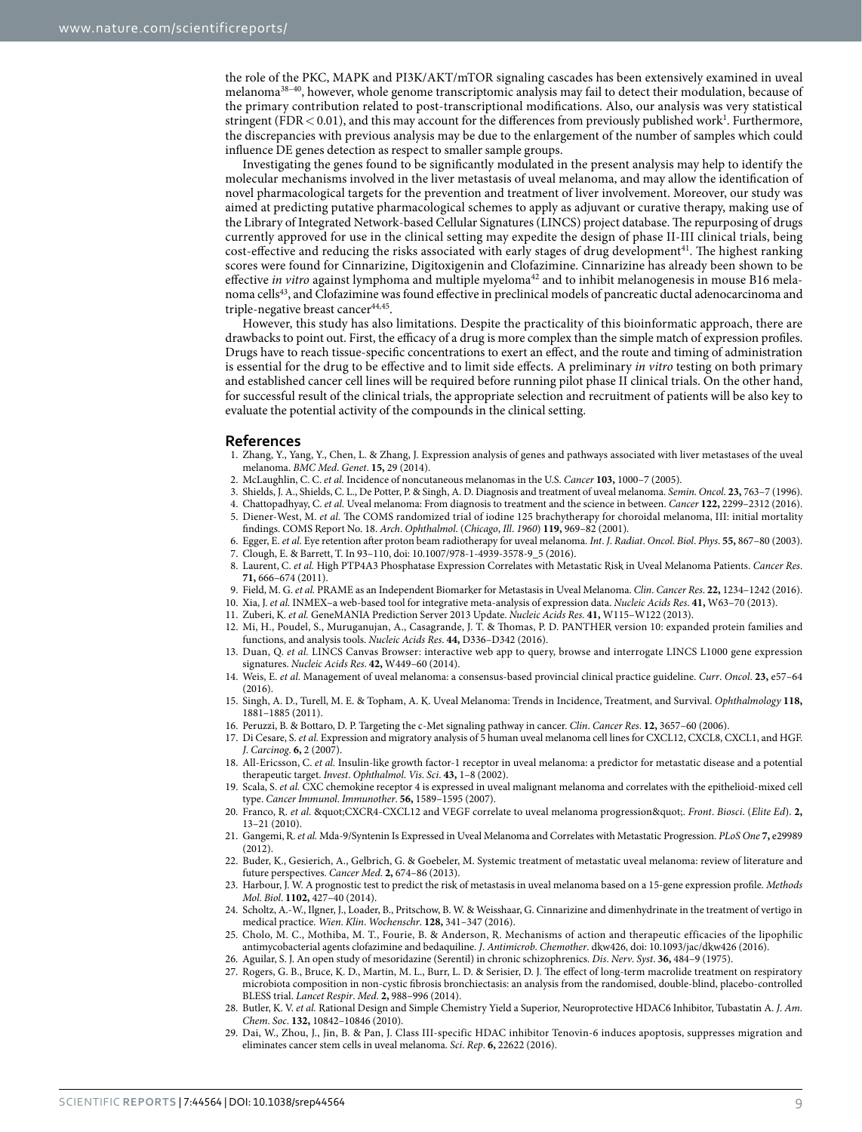the role of the PKC, MAPK and PI3K/AKT/mTOR signaling cascades has been extensively examined in uveal melanoma[38–40](#page-9-8), however, whole genome transcriptomic analysis may fail to detect their modulation, because of the primary contribution related to post-transcriptional modifications. Also, our analysis was very statistical stringent (FDR < 0.01), and this may account for the differences from previously published work<sup>1</sup>. Furthermore, the discrepancies with previous analysis may be due to the enlargement of the number of samples which could influence DE genes detection as respect to smaller sample groups.

Investigating the genes found to be significantly modulated in the present analysis may help to identify the molecular mechanisms involved in the liver metastasis of uveal melanoma, and may allow the identification of novel pharmacological targets for the prevention and treatment of liver involvement. Moreover, our study was aimed at predicting putative pharmacological schemes to apply as adjuvant or curative therapy, making use of the Library of Integrated Network-based Cellular Signatures (LINCS) project database. The repurposing of drugs currently approved for use in the clinical setting may expedite the design of phase II-III clinical trials, being cost-effective and reducing the risks associated with early stages of drug development<sup>41</sup>. The highest ranking scores were found for Cinnarizine, Digitoxigenin and Clofazimine. Cinnarizine has already been shown to be effective *in vitro* against lymphoma and multiple myeloma<sup>42</sup> and to inhibit melanogenesis in mouse B16 melanoma cell[s43,](#page-9-11) and Clofazimine was found effective in preclinical models of pancreatic ductal adenocarcinoma and triple-negative breast cancer $44,45$  $44,45$  $44,45$ .

However, this study has also limitations. Despite the practicality of this bioinformatic approach, there are drawbacks to point out. First, the efficacy of a drug is more complex than the simple match of expression profiles. Drugs have to reach tissue-specific concentrations to exert an effect, and the route and timing of administration is essential for the drug to be effective and to limit side effects. A preliminary *in vitro* testing on both primary and established cancer cell lines will be required before running pilot phase II clinical trials. On the other hand, for successful result of the clinical trials, the appropriate selection and recruitment of patients will be also key to evaluate the potential activity of the compounds in the clinical setting.

#### **References**

- <span id="page-8-0"></span>1. Zhang, Y., Yang, Y., Chen, L. & Zhang, J. Expression analysis of genes and pathways associated with liver metastases of the uveal melanoma. *BMC Med*. *Genet*. **15,** 29 (2014).
- <span id="page-8-1"></span>2. McLaughlin, C. C. *et al.* Incidence of noncutaneous melanomas in the U.S. *Cancer* **103,** 1000–7 (2005).
- <span id="page-8-2"></span>3. Shields, J. A., Shields, C. L., De Potter, P. & Singh, A. D. Diagnosis and treatment of uveal melanoma. *Semin*. *Oncol*. **23,** 763–7 (1996).
- <span id="page-8-3"></span>4. Chattopadhyay, C. *et al.* Uveal melanoma: From diagnosis to treatment and the science in between. *Cancer* **122,** 2299–2312 (2016).
- 5. Diener-West, M. *et al.* The COMS randomized trial of iodine 125 brachytherapy for choroidal melanoma, III: initial mortality findings. COMS Report No. 18. *Arch*. *Ophthalmol*. (*Chicago*, *Ill*. *1960*) **119,** 969–82 (2001).
- 6. Egger, E. *et al.* Eye retention after proton beam radiotherapy for uveal melanoma. *Int*. *J*. *Radiat*. *Oncol*. *Biol*. *Phys*. **55,** 867–80 (2003). 7. Clough, E. & Barrett, T. In 93–110, doi: 10.1007/978-1-4939-3578-9\_5 (2016).
- <span id="page-8-5"></span><span id="page-8-4"></span>
- 8. Laurent, C. *et al.* High PTP4A3 Phosphatase Expression Correlates with Metastatic Risk in Uveal Melanoma Patients. *Cancer Res*. **71,** 666–674 (2011).
- <span id="page-8-7"></span><span id="page-8-6"></span>9. Field, M. G. *et al.* PRAME as an Independent Biomarker for Metastasis in Uveal Melanoma. *Clin*. *Cancer Res*. **22,** 1234–1242 (2016).
- 10. Xia, J. *et al.* INMEX–a web-based tool for integrative meta-analysis of expression data. *Nucleic Acids Res*. **41,** W63–70 (2013).
- <span id="page-8-8"></span>11. Zuberi, K. *et al.* GeneMANIA Prediction Server 2013 Update. *Nucleic Acids Res*. **41,** W115–W122 (2013).
- <span id="page-8-9"></span>12. Mi, H., Poudel, S., Muruganujan, A., Casagrande, J. T. & Thomas, P. D. PANTHER version 10: expanded protein families and functions, and analysis tools. *Nucleic Acids Res*. **44,** D336–D342 (2016).
- <span id="page-8-10"></span>13. Duan, Q. *et al.* LINCS Canvas Browser: interactive web app to query, browse and interrogate LINCS L1000 gene expression signatures. *Nucleic Acids Res*. **42,** W449–60 (2014).
- <span id="page-8-11"></span>14. Weis, E. *et al.* Management of uveal melanoma: a consensus-based provincial clinical practice guideline. *Curr*. *Oncol*. **23,** e57–64 (2016).
- <span id="page-8-12"></span>15. Singh, A. D., Turell, M. E. & Topham, A. K. Uveal Melanoma: Trends in Incidence, Treatment, and Survival. *Ophthalmology* **118,** 1881–1885 (2011).
- <span id="page-8-13"></span>16. Peruzzi, B. & Bottaro, D. P. Targeting the c-Met signaling pathway in cancer. *Clin*. *Cancer Res*. **12,** 3657–60 (2006).
- <span id="page-8-14"></span>17. Di Cesare, S. *et al.* Expression and migratory analysis of 5 human uveal melanoma cell lines for CXCL12, CXCL8, CXCL1, and HGF. *J*. *Carcinog*. **6,** 2 (2007).
- <span id="page-8-15"></span>All-Ericsson, C. *et al.* Insulin-like growth factor-1 receptor in uveal melanoma: a predictor for metastatic disease and a potential therapeutic target. *Invest*. *Ophthalmol*. *Vis*. *Sci*. **43,** 1–8 (2002).
- <span id="page-8-16"></span>19. Scala, S. *et al.* CXC chemokine receptor 4 is expressed in uveal malignant melanoma and correlates with the epithelioid-mixed cell type. *Cancer Immunol*. *Immunother*. **56,** 1589–1595 (2007).
- <span id="page-8-17"></span>20. Franco, R. et al. "CXCR4-CXCL12 and VEGF correlate to uveal melanoma progression". *Front. Biosci.* (*Elite Ed*). 2, 13–21 (2010).
- <span id="page-8-18"></span>21. Gangemi, R. *et al.* Mda-9/Syntenin Is Expressed in Uveal Melanoma and Correlates with Metastatic Progression. *PLoS One* **7,** e29989 (2012).
- <span id="page-8-19"></span>22. Buder, K., Gesierich, A., Gelbrich, G. & Goebeler, M. Systemic treatment of metastatic uveal melanoma: review of literature and future perspectives. *Cancer Med*. **2,** 674–86 (2013).
- <span id="page-8-20"></span>23. Harbour, J. W. A prognostic test to predict the risk of metastasis in uveal melanoma based on a 15-gene expression profile. *Methods Mol*. *Biol*. **1102,** 427–40 (2014).
- <span id="page-8-21"></span>24. Scholtz, A.-W., Ilgner, J., Loader, B., Pritschow, B. W. & Weisshaar, G. Cinnarizine and dimenhydrinate in the treatment of vertigo in medical practice. *Wien*. *Klin*. *Wochenschr*. **128,** 341–347 (2016).
- <span id="page-8-22"></span>25. Cholo, M. C., Mothiba, M. T., Fourie, B. & Anderson, R. Mechanisms of action and therapeutic efficacies of the lipophilic antimycobacterial agents clofazimine and bedaquiline. *J*. *Antimicrob*. *Chemother*. dkw426, doi: 10.1093/jac/dkw426 (2016).
- <span id="page-8-23"></span>26. Aguilar, S. J. An open study of mesoridazine (Serentil) in chronic schizophrenics. *Dis*. *Nerv*. *Syst*. **36,** 484–9 (1975).
- <span id="page-8-24"></span>27. Rogers, G. B., Bruce, K. D., Martin, M. L., Burr, L. D. & Serisier, D. J. The effect of long-term macrolide treatment on respiratory microbiota composition in non-cystic fibrosis bronchiectasis: an analysis from the randomised, double-blind, placebo-controlled BLESS trial. *Lancet Respir*. *Med*. **2,** 988–996 (2014).
- <span id="page-8-25"></span>28. Butler, K. V. *et al.* Rational Design and Simple Chemistry Yield a Superior, Neuroprotective HDAC6 Inhibitor, Tubastatin A. *J*. *Am*. *Chem*. *Soc*. **132,** 10842–10846 (2010).
- <span id="page-8-26"></span>29. Dai, W., Zhou, J., Jin, B. & Pan, J. Class III-specific HDAC inhibitor Tenovin-6 induces apoptosis, suppresses migration and eliminates cancer stem cells in uveal melanoma. *Sci*. *Rep*. **6,** 22622 (2016).